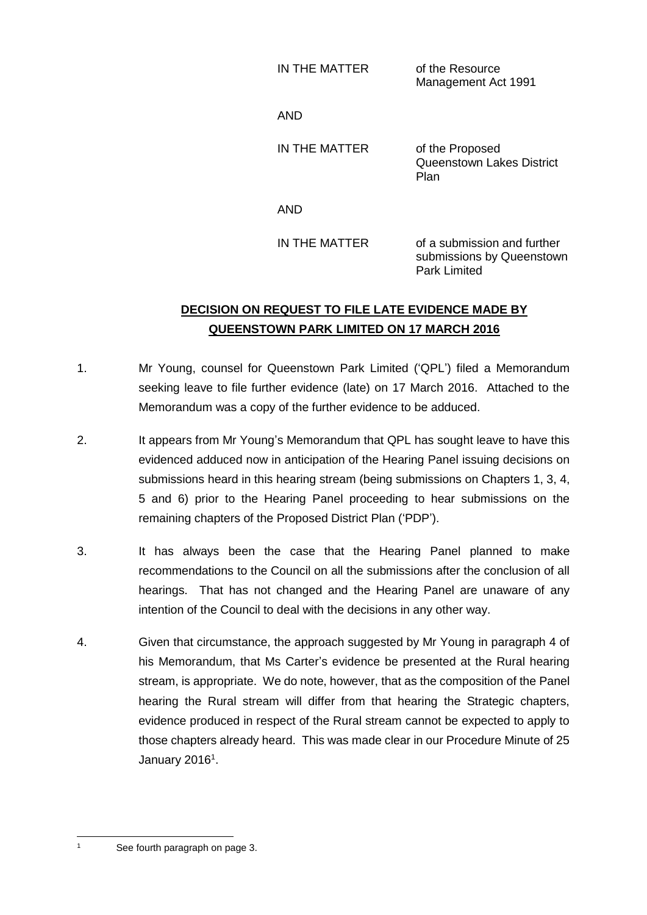| IN THE MATTER | of the Resource     |
|---------------|---------------------|
|               | Management Act 1991 |

AND

IN THE MATTER of the Proposed

Queenstown Lakes District Plan

AND

IN THE MATTER of a submission and further submissions by Queenstown Park Limited

## **DECISION ON REQUEST TO FILE LATE EVIDENCE MADE BY QUEENSTOWN PARK LIMITED ON 17 MARCH 2016**

- 1. Mr Young, counsel for Queenstown Park Limited ('QPL') filed a Memorandum seeking leave to file further evidence (late) on 17 March 2016. Attached to the Memorandum was a copy of the further evidence to be adduced.
- 2. It appears from Mr Young's Memorandum that QPL has sought leave to have this evidenced adduced now in anticipation of the Hearing Panel issuing decisions on submissions heard in this hearing stream (being submissions on Chapters 1, 3, 4, 5 and 6) prior to the Hearing Panel proceeding to hear submissions on the remaining chapters of the Proposed District Plan ('PDP').
- 3. It has always been the case that the Hearing Panel planned to make recommendations to the Council on all the submissions after the conclusion of all hearings. That has not changed and the Hearing Panel are unaware of any intention of the Council to deal with the decisions in any other way.
- 4. Given that circumstance, the approach suggested by Mr Young in paragraph 4 of his Memorandum, that Ms Carter's evidence be presented at the Rural hearing stream, is appropriate. We do note, however, that as the composition of the Panel hearing the Rural stream will differ from that hearing the Strategic chapters, evidence produced in respect of the Rural stream cannot be expected to apply to those chapters already heard. This was made clear in our Procedure Minute of 25 January 2016<sup>1</sup>.